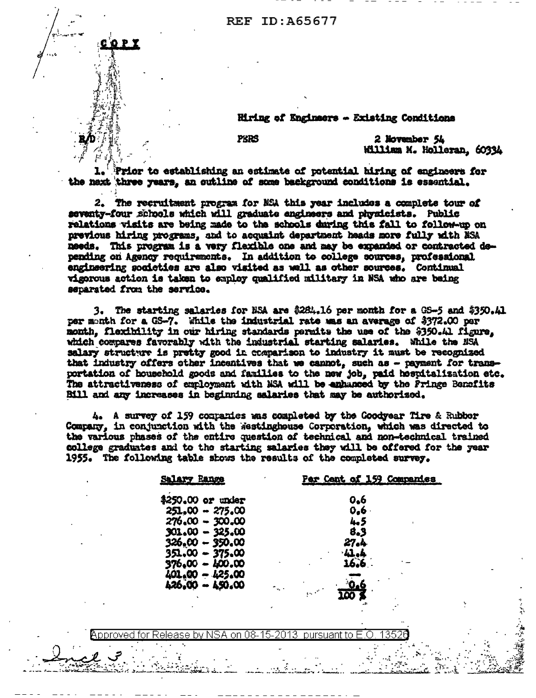# REF ID:A65677

Hiring of Engineers - Existing Conditions

**PERS** 

2 November 54 William M. Holleran, 60334

Prior to establishing an estimate of potential hiring of engineers for the next three years, an outline of some background conditions is essential.

2. The recruitment program for NSA this year includes a complete tour of seventy-four schools which will graduate engineers and physicists. Public relations visits are being made to the schools during this fall to follow-up on previous hiring programs, and to acquaint department heads more fully with NSA needs. This program is a very flexible one and may be expanded or contracted depending on Agency requirements. In addition to college sources, professional engineering societies are also visited as well as other sources. Continual vigorous action is taken to employ qualified military in NSA who are being separated from the service.

3. The starting salaries for NSA are  $3284.16$  per month for a GS-5 and  $5350.41$ per month for a GS-7. While the industrial rate mas an average of \$372.00 per month, flexibility in our hiring standards permits the use of the \$350.41 figure, which compares favorably with the industrial starting salaries. While the NSA salary structure is pretty good in comparison to industry it must be recognized that industry offers other incentives that we cannot, such as - payment for transportation of household goods and families to the new job, paid hospitalization etc. The attractiveness of employment with NSA will be enhanced by the Pringe Benefits Bill and any increases in beginning salaries that may be authorized.

4. A survey of 159 companies was completed by the Goodyear Tire & Rubber Company. in conjunction with the Westinghouse Corporation, which was directed to the various phases of the entire question of technical and non-technical trained college graduates and to the starting salaries they will be offered for the year 1955. The following table shows the results of the completed survey.

| Range<br><b>Salary</b> | Par Cant of 159 Comparies |
|------------------------|---------------------------|
| \$250.00 or under      | 0.6                       |
| $251,00 - 275,00$      | 0.6                       |
| 276.00 - 300.00        | 4.5                       |
| $301.00 - 325.00$      | 8.3                       |
| 326,00 - 350.00        | 27.A                      |
| $351.00 - 375.00$      | . ll . l                  |
| 376.00 - 400.00        |                           |
| 401.00 - 425.00        |                           |
| 426,00 - 450.00        | $\sigma_{\rm{w}}$ .       |
| ۰.                     |                           |
|                        | ا کے                      |
|                        |                           |

on 08-15-Annrovedi 2013